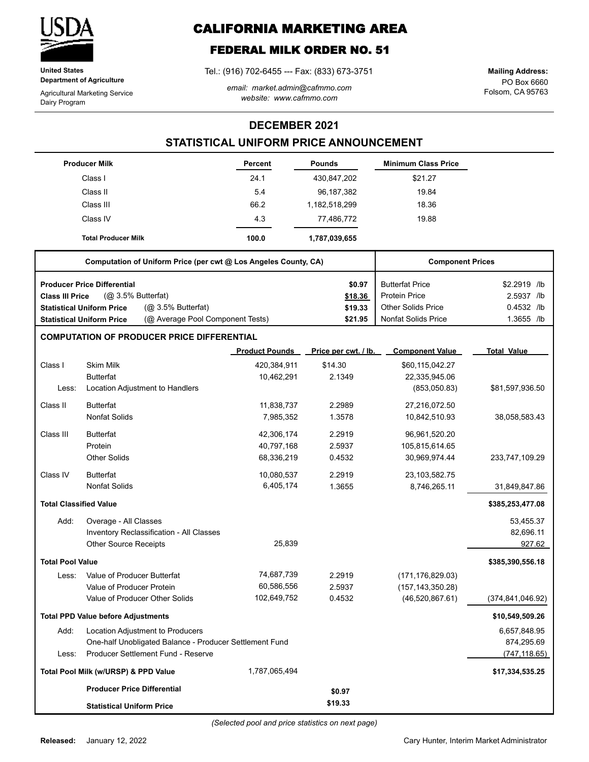

**United States Department of Agriculture**

Agricultural Marketing Service Dairy Program

# **CALIFORNIA MARKETING AREA**

## **FEDERAL MILK ORDER NO. 51**

Tel.: (916) 702-6455 --- Fax: (833) 673-3751

*email: market.admin@cafmmo.com website: www.cafmmo.com*

PO Box 6660 Folsom, CA 95763 **Mailing Address:**

### **DECEMBER 2021**

## **STATISTICAL UNIFORM PRICE ANNOUNCEMENT**

|                               | <b>Producer Milk</b>                                                 | Percent               | <b>Pounds</b>        | <b>Minimum Class Price</b> |                    |
|-------------------------------|----------------------------------------------------------------------|-----------------------|----------------------|----------------------------|--------------------|
|                               | Class I                                                              | 24.1                  | 430,847,202          | \$21.27                    |                    |
|                               | Class II                                                             | 5.4                   | 96, 187, 382         | 19.84                      |                    |
|                               | Class III                                                            | 66.2                  | 1,182,518,299        | 18.36                      |                    |
|                               | Class IV                                                             | 4.3                   | 77,486,772           | 19.88                      |                    |
|                               | <b>Total Producer Milk</b>                                           | 100.0                 | 1,787,039,655        |                            |                    |
|                               | Computation of Uniform Price (per cwt @ Los Angeles County, CA)      |                       |                      | <b>Component Prices</b>    |                    |
|                               | <b>Producer Price Differential</b>                                   |                       | \$0.97               | <b>Butterfat Price</b>     | \$2.2919 /lb       |
| <b>Class III Price</b>        | (@ 3.5% Butterfat)                                                   |                       | \$18.36              | Protein Price              | 2.5937 /lb         |
|                               | (@ 3.5% Butterfat)<br><b>Statistical Uniform Price</b>               |                       | \$19.33              | <b>Other Solids Price</b>  | 0.4532 /lb         |
|                               | (@ Average Pool Component Tests)<br><b>Statistical Uniform Price</b> |                       | \$21.95              | <b>Nonfat Solids Price</b> | 1.3655 /lb         |
|                               | <b>COMPUTATION OF PRODUCER PRICE DIFFERENTIAL</b>                    |                       |                      |                            |                    |
|                               |                                                                      | <b>Product Pounds</b> | Price per cwt. / lb. | <b>Component Value</b>     | <b>Total Value</b> |
| Class I                       | <b>Skim Milk</b>                                                     | 420,384,911           | \$14.30              | \$60,115,042.27            |                    |
|                               | <b>Butterfat</b>                                                     | 10,462,291            | 2.1349               | 22,335,945.06              |                    |
| Less:                         | Location Adjustment to Handlers                                      |                       |                      | (853,050.83)               | \$81,597,936.50    |
| Class II                      | <b>Butterfat</b>                                                     | 11,838,737            | 2.2989               | 27,216,072.50              |                    |
|                               | <b>Nonfat Solids</b>                                                 | 7,985,352             | 1.3578               | 10,842,510.93              | 38,058,583.43      |
| Class III                     | <b>Butterfat</b>                                                     | 42,306,174            | 2.2919               | 96,961,520.20              |                    |
|                               | Protein                                                              | 40,797,168            | 2.5937               | 105,815,614.65             |                    |
|                               | <b>Other Solids</b>                                                  | 68,336,219            | 0.4532               | 30,969,974.44              | 233,747,109.29     |
| Class IV                      | <b>Butterfat</b>                                                     | 10,080,537            | 2.2919               | 23,103,582.75              |                    |
|                               | <b>Nonfat Solids</b>                                                 | 6,405,174             | 1.3655               | 8,746,265.11               | 31,849,847.86      |
| <b>Total Classified Value</b> |                                                                      |                       |                      |                            | \$385,253,477.08   |
| Add:                          | Overage - All Classes                                                |                       |                      |                            | 53,455.37          |
|                               | Inventory Reclassification - All Classes                             |                       |                      |                            | 82,696.11          |
|                               | <b>Other Source Receipts</b>                                         | 25,839                |                      |                            | 927.62             |
| <b>Total Pool Value</b>       |                                                                      |                       |                      |                            | \$385,390,556.18   |
| Less:                         | Value of Producer Butterfat                                          | 74,687,739            | 2.2919               | (171, 176, 829.03)         |                    |
|                               | Value of Producer Protein                                            | 60,586,556            | 2.5937               | (157, 143, 350.28)         |                    |
|                               | Value of Producer Other Solids                                       | 102,649,752           | 0.4532               | (46,520,867.61)            | (374, 841, 046.92) |
|                               | <b>Total PPD Value before Adjustments</b>                            |                       |                      |                            | \$10,549,509.26    |
| Add:                          | Location Adjustment to Producers                                     |                       |                      |                            | 6,657,848.95       |
|                               | One-half Unobligated Balance - Producer Settlement Fund              |                       |                      |                            | 874,295.69         |
| Less:                         | Producer Settlement Fund - Reserve                                   |                       |                      |                            | (747, 118.65)      |
|                               | Total Pool Milk (w/URSP) & PPD Value                                 | 1,787,065,494         |                      |                            | \$17,334,535.25    |
|                               | <b>Producer Price Differential</b>                                   |                       | \$0.97               |                            |                    |
|                               | <b>Statistical Uniform Price</b>                                     |                       | \$19.33              |                            |                    |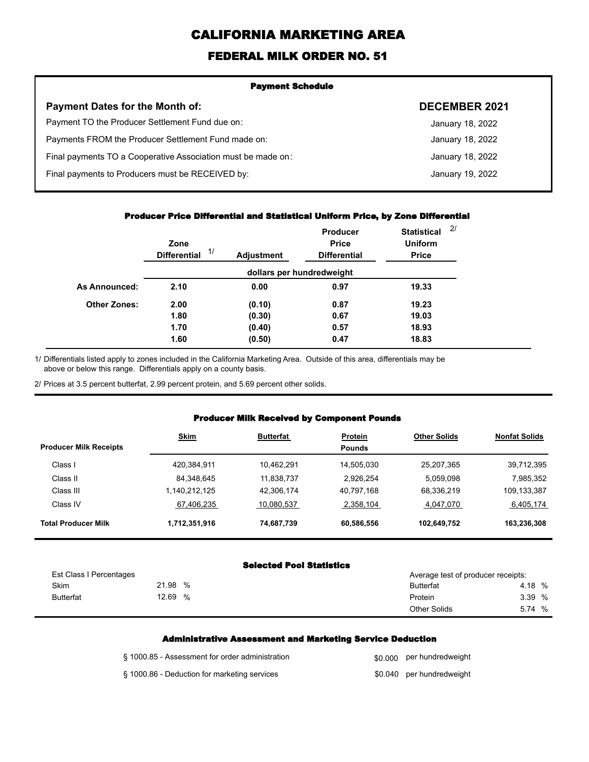# **CALIFORNIA MARKETING AREA**

## **FEDERAL MILK ORDER NO. 51**

| <b>Payment Schedule</b>                                      |                      |  |  |  |
|--------------------------------------------------------------|----------------------|--|--|--|
| <b>Payment Dates for the Month of:</b>                       | <b>DECEMBER 2021</b> |  |  |  |
| Payment TO the Producer Settlement Fund due on:              | January 18, 2022     |  |  |  |
| Payments FROM the Producer Settlement Fund made on:          | January 18, 2022     |  |  |  |
| Final payments TO a Cooperative Association must be made on: | January 18, 2022     |  |  |  |
| Final payments to Producers must be RECEIVED by:             | January 19, 2022     |  |  |  |
|                                                              |                      |  |  |  |

#### **Producer Price Differential and Statistical Uniform Price, by Zone Differential**

|                     | Zone<br>1/<br><b>Differential</b> | <b>Adjustment</b> | <b>Producer</b><br><b>Price</b><br><b>Differential</b> | <b>Statistical</b><br><b>Uniform</b><br><b>Price</b> | 2/ |
|---------------------|-----------------------------------|-------------------|--------------------------------------------------------|------------------------------------------------------|----|
|                     |                                   |                   | dollars per hundredweight                              |                                                      |    |
| As Announced:       | 2.10                              | 0.00              | 0.97                                                   | 19.33                                                |    |
| <b>Other Zones:</b> | 2.00                              | (0.10)            | 0.87                                                   | 19.23                                                |    |
|                     | 1.80                              | (0.30)            | 0.67                                                   | 19.03                                                |    |
|                     | 1.70                              | (0.40)            | 0.57                                                   | 18.93                                                |    |
|                     | 1.60                              | (0.50)            | 0.47                                                   | 18.83                                                |    |

Differentials listed apply to zones included in the California Marketing Area. Outside of this area, differentials may be above or below this range. Differentials apply on a county basis. 1/

2/ Prices at 3.5 percent butterfat, 2.99 percent protein, and 5.69 percent other solids.

#### **Producer Milk Received by Component Pounds**

| <b>Producer Milk Receipts</b> | <b>Skim</b>   | <b>Butterfat</b> | <b>Protein</b><br><b>Pounds</b> | <b>Other Solids</b> | <b>Nonfat Solids</b> |
|-------------------------------|---------------|------------------|---------------------------------|---------------------|----------------------|
| Class I                       | 420,384,911   | 10.462.291       | 14,505,030                      | 25,207,365          | 39,712,395           |
| Class II                      | 84,348,645    | 11,838,737       | 2.926.254                       | 5,059,098           | 7,985,352            |
| Class III                     | ,140,212,125  | 42,306,174       | 40,797,168                      | 68,336,219          | 109,133,387          |
| Class IV                      | 67,406,235    | 10,080,537       | 2,358,104                       | 4,047,070           | 6,405,174            |
| <b>Total Producer Milk</b>    | 1,712,351,916 | 74,687,739       | 60,586,556                      | 102,649,752         | 163,236,308          |

#### **Selected Pool Statistics**

| Est Class I Percentages |            | Average test of producer receipts: |        |
|-------------------------|------------|------------------------------------|--------|
| Skim                    | 21.98<br>% | <b>Butterfat</b>                   | 4.18 % |
| <b>Butterfat</b>        | 12.69<br>% | Protein                            | 3.39 % |
|                         |            | <b>Other Solids</b>                | 5.74 % |

#### **Administrative Assessment and Marketing Service Deduction**

| § 1000.85 - Assessment for order administration | \$0,000 per hundredweight |
|-------------------------------------------------|---------------------------|
| § 1000.86 - Deduction for marketing services    | \$0.040 per hundredweight |